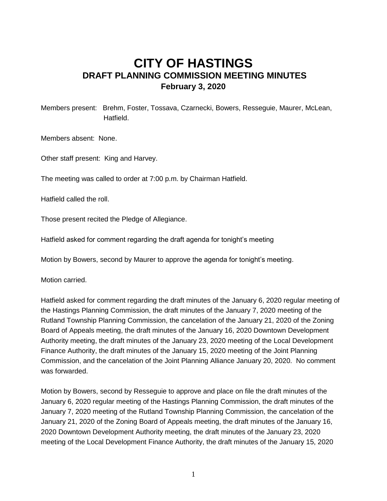## **CITY OF HASTINGS DRAFT PLANNING COMMISSION MEETING MINUTES February 3, 2020**

Members present: Brehm, Foster, Tossava, Czarnecki, Bowers, Resseguie, Maurer, McLean, Hatfield.

Members absent: None.

Other staff present: King and Harvey.

The meeting was called to order at 7:00 p.m. by Chairman Hatfield.

Hatfield called the roll.

Those present recited the Pledge of Allegiance.

Hatfield asked for comment regarding the draft agenda for tonight's meeting

Motion by Bowers, second by Maurer to approve the agenda for tonight's meeting.

Motion carried.

Hatfield asked for comment regarding the draft minutes of the January 6, 2020 regular meeting of the Hastings Planning Commission, the draft minutes of the January 7, 2020 meeting of the Rutland Township Planning Commission, the cancelation of the January 21, 2020 of the Zoning Board of Appeals meeting, the draft minutes of the January 16, 2020 Downtown Development Authority meeting, the draft minutes of the January 23, 2020 meeting of the Local Development Finance Authority, the draft minutes of the January 15, 2020 meeting of the Joint Planning Commission, and the cancelation of the Joint Planning Alliance January 20, 2020. No comment was forwarded.

Motion by Bowers, second by Resseguie to approve and place on file the draft minutes of the January 6, 2020 regular meeting of the Hastings Planning Commission, the draft minutes of the January 7, 2020 meeting of the Rutland Township Planning Commission, the cancelation of the January 21, 2020 of the Zoning Board of Appeals meeting, the draft minutes of the January 16, 2020 Downtown Development Authority meeting, the draft minutes of the January 23, 2020 meeting of the Local Development Finance Authority, the draft minutes of the January 15, 2020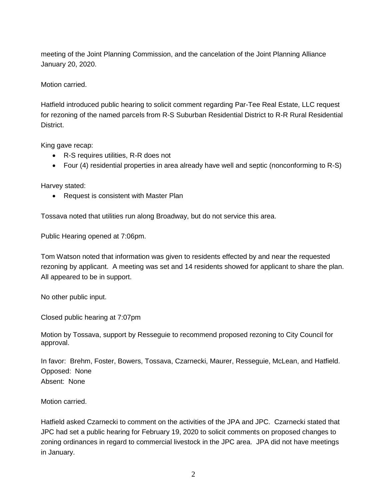meeting of the Joint Planning Commission, and the cancelation of the Joint Planning Alliance January 20, 2020.

Motion carried.

Hatfield introduced public hearing to solicit comment regarding Par-Tee Real Estate, LLC request for rezoning of the named parcels from R-S Suburban Residential District to R-R Rural Residential District.

King gave recap:

- R-S requires utilities, R-R does not
- Four (4) residential properties in area already have well and septic (nonconforming to R-S)

Harvey stated:

• Request is consistent with Master Plan

Tossava noted that utilities run along Broadway, but do not service this area.

Public Hearing opened at 7:06pm.

Tom Watson noted that information was given to residents effected by and near the requested rezoning by applicant. A meeting was set and 14 residents showed for applicant to share the plan. All appeared to be in support.

No other public input.

Closed public hearing at 7:07pm

Motion by Tossava, support by Resseguie to recommend proposed rezoning to City Council for approval.

In favor: Brehm, Foster, Bowers, Tossava, Czarnecki, Maurer, Resseguie, McLean, and Hatfield. Opposed: None Absent: None

Motion carried.

Hatfield asked Czarnecki to comment on the activities of the JPA and JPC. Czarnecki stated that JPC had set a public hearing for February 19, 2020 to solicit comments on proposed changes to zoning ordinances in regard to commercial livestock in the JPC area. JPA did not have meetings in January.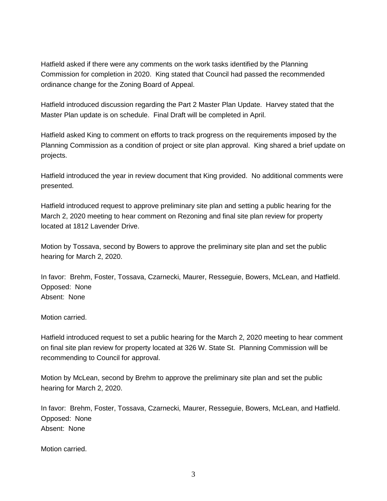Hatfield asked if there were any comments on the work tasks identified by the Planning Commission for completion in 2020. King stated that Council had passed the recommended ordinance change for the Zoning Board of Appeal.

Hatfield introduced discussion regarding the Part 2 Master Plan Update. Harvey stated that the Master Plan update is on schedule. Final Draft will be completed in April.

Hatfield asked King to comment on efforts to track progress on the requirements imposed by the Planning Commission as a condition of project or site plan approval. King shared a brief update on projects.

Hatfield introduced the year in review document that King provided. No additional comments were presented.

Hatfield introduced request to approve preliminary site plan and setting a public hearing for the March 2, 2020 meeting to hear comment on Rezoning and final site plan review for property located at 1812 Lavender Drive.

Motion by Tossava, second by Bowers to approve the preliminary site plan and set the public hearing for March 2, 2020.

In favor: Brehm, Foster, Tossava, Czarnecki, Maurer, Resseguie, Bowers, McLean, and Hatfield. Opposed: None Absent: None

Motion carried.

Hatfield introduced request to set a public hearing for the March 2, 2020 meeting to hear comment on final site plan review for property located at 326 W. State St. Planning Commission will be recommending to Council for approval.

Motion by McLean, second by Brehm to approve the preliminary site plan and set the public hearing for March 2, 2020.

In favor: Brehm, Foster, Tossava, Czarnecki, Maurer, Resseguie, Bowers, McLean, and Hatfield. Opposed: None Absent: None

Motion carried.